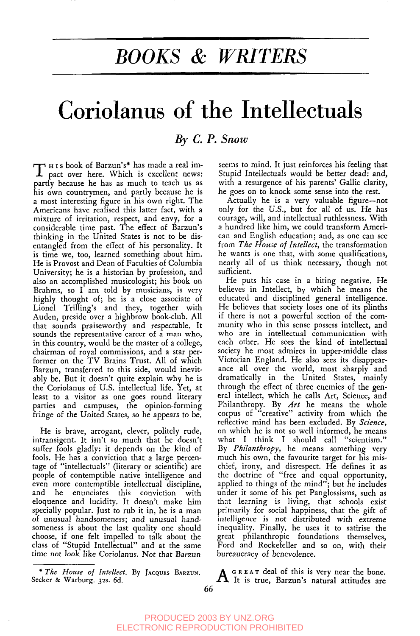## *BOOKS & WRITERS*

# **Coriolanus of the Intellectuals**

### *By C. P. Snow*

T H<sub>15</sub> book of Barzun's\* has made a real impact over here. Which is excellent news: partly because he has as much to teach us as his own countrymen, and partly because he is a most interesting figure in his own right. The Americans have realised this latter fact, with a mixture of irritation, respect, and envy, for a considerable time past. The effect of Barzun's thinking in the United States is not to be disentangled from the effect of his personality. It is time we, too, learned something about him. He is Provost and Dean of Faculties of Columbia University; he is a historian by profession, and also an accomplished musicologist; his book on Brahms, so I am told by musicians, is very highly thought of; he is a close associate of Lionel Trilling's and they, together with Auden, preside over a highbrow book-club. All that sounds praiseworthy and respectable. It sounds the representative career of a man who, in this country, would be the master of a college, chairman of royal commissions, and a star performer on the TV Brains Trust. All of which Barzun, transferred to this side, would inevitably be. But it doesn't quite explain why he is the Coriolanus of U.S. intellectual life. Yet, at least to a visitor as one goes round literary parties and campuses, the opinion-forming fringe of the United States, so be appears to be.

He is brave, arrogant, clever, politely rude, intransigent. It isn't so much that he doesn't suffer fools gladly: it depends on the kind of fools. He has a conviction that a large percentage of 'intellectuals' (literary or scientific) are people of contemptible native intelligence and even more contemptible intellectual discipline, and he enunciates this conviction eloquence and lucidity. It doesn't make him specially popular. Just to rub it in, he is a man of unusual *handsomeness;* and unusual handsomeness is about the last quality one should choose, if one felt impelled to talk about the class of "Stupid Intellectual" and at the same time not look like *Coriolanus.* Not that Barzun

seems to mind. It just reinforces his feeling that Stupid Intellectuals would be better dead: and, with a resurgence of his parents' Gallic clarity, he goes on to knock some sense into the rest.

Actually he is a very valuable figure--not only for the U.S., but for all of us. He has courage, will, and intellectual ruthlessness. With a hundred like him, we could transform American and English education; and, as one can see from *The House of Intellect*, the transformation he wants is one that, with some qualifications, nearly all of us think necessary, though not sufficient.

He puts his case in a biting negative. He believes in Intellect, by which he means the educated and disciplined general intelligence. He believes that society loses one of its plinths if there is not a powerful section of the community who in this sense possess intellect, and who are in intellectual communication with each other. He sees the kind of intellectual society he most admires in upper-middle class Victorian England. He also sees its disappearance all over the world, most sharply and dramatically in the United States, mainly through the effect of three enemies of the general intellect, which he calls Art, Science, and Philanthropy. By *Art* he means the whole corpus of "creative" activity from which the reflective mind has been excluded. By *Science,* on which he is not so well informed, he means what I think I should call "scientism." By *Philanthropy,* he means something very much his own, the favourite target for his mischief, irony, and disrespect. He defines it as the doctrine of "free and equal opportunity applied to things of the mind"; but he includes under it some of his pet Panglossisms, such as that learning is living, that schools exist primarily for social happiness, that the gift of intelligence is not distributed with extreme inequality. Finally, he uses it to satirise the great philanthropic foundations themselves, Ford and Rockefeller and so on, with their bureaucracy of benevolence.

\* The House of Intellect. By JACQUES BARZUN. <br>Secker & Warburg. 32s. 6d. **A** It is true, Barzun's natural attitudes are

*<sup>\*</sup> The House of Intellect*. By Jacques Barzun.<br>Secker & Warburg. 32s. 6d.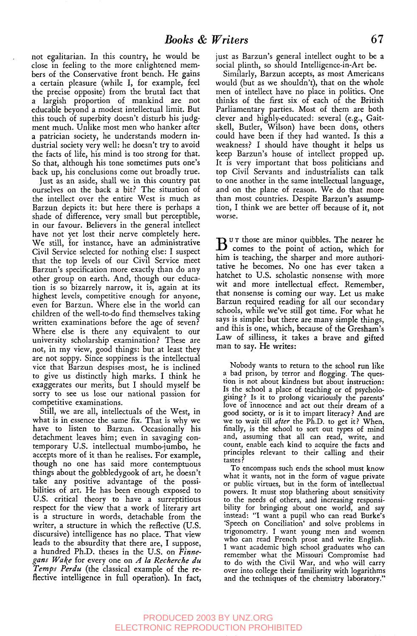not egalitariau. In this country, he would be close in feeling to the more enlightened members of the Conservative front bench. He gains a certain pleasure (while I, for example, feel the precise opposite) from the brutal fact that a largish proportion of mankind are not educable beyond a modest intellectual limit. But this touch of superbity doesn't disturb his judgment much. Unlike most men who hanker after a patrician society, he understands modern industrial society very well: he doesn't try to avoid the facts of life, his mind is too strong for that. So that, although his tone sometimes puts one's back up, his conclusions come out broadly true.

Just as an aside, shall we in this country pat ourselves on the back a bit? The situation of the intellect over the entire West is much as Barzun depicts it: but here there is perhaps a shade of difference, very small but perceptible, in our favour. Believers in the general intellect have not yet lost their nerve completely here. We still, for instance, have an administrative Civil Service selected for nothing else: I suspect that the top levels of our Civil Service meet Barzun's specification more exactly than do any other group on earth. And, though our education is so bizarrely narrow, it is, again at its highest levels, competitive enough for anyone, even for Barzun. Where else in the world can children of the well-to-do find themselves taking written examinations before the age of seven? Where else is there any equivalent to our university scholarship examination? These are not, in my view, good things: but at least they are not soppy. Since soppiness is the intellectual vice that Barzun despises most, he is inclined to give us distinctly high marks. I think he exaggerates our merits, but I should myself be sorry to see us lose our national passion for competitive examinations.

Still, we are all, intellectuals of the West, in what is in essence the same fix. That is why we have to listen to Barzun. Occasionally his detachment leaves him; even in savaging contemporary U.S. intellectual mumbo-jumbo, he accepts more of it than he realises. For example, though no one has said more contemptuous things about the gobbledygook of art, he doesn't take any positive advantage of the possibilities of art. He has been enough exposed to U.S. critical theory to have a surreptitious respect for the view that a work of literary art is a structure in words, detachable from the writer, a structure in which the reflective (U.S. discursive) intelligence has no place. That view leads to the absurdity that there are, I suppose, a hundred Ph.D. theses in the U.S. on *Finnegans Wake* for every one on *A la Recherche du Temps Perdu* (the classical example of the reflective intelligence in full operation). In fact,

just as Barzun's general intellect ought to be a social plinth, so should Intelligence-in-Art be.

Similarly, Barzun accepts, as most Americans would (but as we shouldn't), that on the whole men of intellect have no place in politics. One thinks of the first six of each of the British Parliamentary parties. Most of them are both clever and highly-educated: several (e.g., Gaitskell, Butler, Wilson) have been dons, others could have been if they had wanted. Is this a weakness? I should have thought it helps us keep Barzun's house of intellect propped up. It is very important that boss politicians and top Civil Servants and industrialists can talk to one another in the same intellectual language, and on the plane of reason. We do that more than most countries. Despite Barzun's assumption, I think we are better off because of it, not worse.

 $B<sup>u T</sup>$  those are minor quibbles. The nearer he comes to the point of action, which for him is teaching, the sharper and more authoritative he becomes. No one has ever taken a hatchet to U.S. scholastic nonsense with more wit and more intellectual effect. Remember, that nonsense is coming our way. Let us make Barzun required reading for all our secondary schools, while we've still got time. For what he says is simple: but there are many simple things, and this is one, which, because of the Gresham's Law of silliness, it takes a brave and gifted man to say. He writes:

Nobody wants to return to the school run like a bad prison, by terror and flogging. The question is not about kindness but about instruction: Is the school a place of teaching or of psychologising? Is it to prolong vicariously the parents' love of innocence and act out their dream of a good society, or is it to impart literacy ? And are we to wait till *after* the Ph.D. to get it ? When, finally, is the school to sort out types of mind and, assuming that all can read, write, and count, enable each kind to acquire the facts and principles relevant to their calling and their tastes ?

To encompass such ends the school must know what it wants, not in the form of vague private or public virtues, but in the form of intellectual powers. It must stop blathering about sensitivity to the needs of others, and increasing responsibility for bringing about one world, and say instead: "I want a pupil who can read Burke's 'Speech on Conciliation' and solve problems in trigonometry. I want young men and women who can read French prose and write English. I want academic high school graduates who can remember what the Missouri Compromise had to do with the Civil War, and who will carry over into college their familiarity with logarithms and the techniques of the chemistry laboratory."